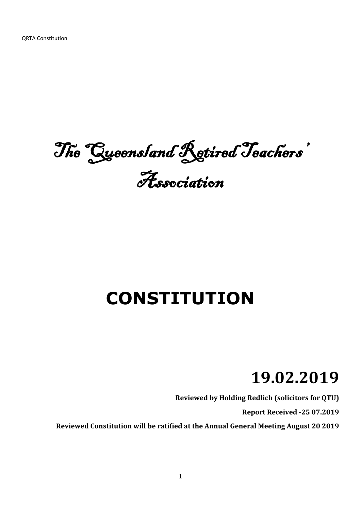The Queensland Retired Teachers' Association

# **CONSTITUTION**

# **19.02.2019**

**Reviewed by Holding Redlich (solicitors for QTU)**

**Report Received -25 07.2019**

**Reviewed Constitution will be ratified at the Annual General Meeting August 20 2019**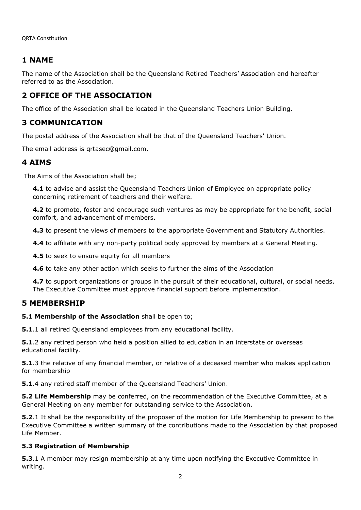QRTA Constitution

# **1 NAME**

The name of the Association shall be the Queensland Retired Teachers' Association and hereafter referred to as the Association.

# **2 OFFICE OF THE ASSOCIATION**

The office of the Association shall be located in the Queensland Teachers Union Building.

# **3 COMMUNICATION**

The postal address of the Association shall be that of the Queensland Teachers' Union.

The email address is qrtasec@gmail.com.

# **4 AIMS**

The Aims of the Association shall be;

**4.1** to advise and assist the Queensland Teachers Union of Employee on appropriate policy concerning retirement of teachers and their welfare.

**4.2** to promote, foster and encourage such ventures as may be appropriate for the benefit, social comfort, and advancement of members.

**4.3** to present the views of members to the appropriate Government and Statutory Authorities.

**4.4** to affiliate with any non-party political body approved by members at a General Meeting.

**4.5** to seek to ensure equity for all members

**4.6** to take any other action which seeks to further the aims of the Association

**4.7** to support organizations or groups in the pursuit of their educational, cultural, or social needs. The Executive Committee must approve financial support before implementation.

## **5 MEMBERSHIP**

## **5.1 Membership of the Association** shall be open to;

**5.1**.1 all retired Queensland employees from any educational facility.

**5.1**.2 any retired person who held a position allied to education in an interstate or overseas educational facility.

**5.1**.3 the relative of any financial member, or relative of a deceased member who makes application for membership

**5.1**.4 any retired staff member of the Queensland Teachers' Union.

**5.2 Life Membership** may be conferred, on the recommendation of the Executive Committee, at a General Meeting on any member for outstanding service to the Association.

**5.2**.1 It shall be the responsibility of the proposer of the motion for Life Membership to present to the Executive Committee a written summary of the contributions made to the Association by that proposed Life Member.

## **5.3 Registration of Membership**

**5.3**.1 A member may resign membership at any time upon notifying the Executive Committee in writing.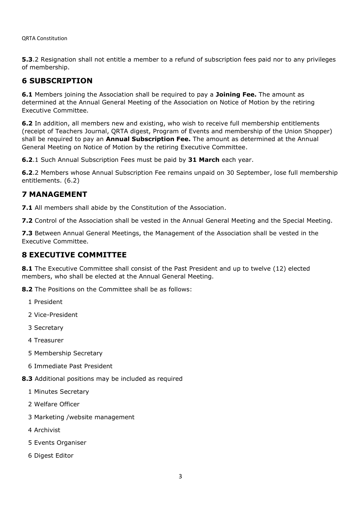**5.3**.2 Resignation shall not entitle a member to a refund of subscription fees paid nor to any privileges of membership.

# **6 SUBSCRIPTION**

**6.1** Members joining the Association shall be required to pay a **Joining Fee.** The amount as determined at the Annual General Meeting of the Association on Notice of Motion by the retiring Executive Committee.

**6.2** In addition, all members new and existing, who wish to receive full membership entitlements (receipt of Teachers Journal, QRTA digest, Program of Events and membership of the Union Shopper) shall be required to pay an **Annual Subscription Fee.** The amount as determined at the Annual General Meeting on Notice of Motion by the retiring Executive Committee.

**6.2**.1 Such Annual Subscription Fees must be paid by **31 March** each year.

**6.2**.2 Members whose Annual Subscription Fee remains unpaid on 30 September, lose full membership entitlements. (6.2)

# **7 MANAGEMENT**

**7.1** All members shall abide by the Constitution of the Association.

**7.2** Control of the Association shall be vested in the Annual General Meeting and the Special Meeting.

**7.3** Between Annual General Meetings, the Management of the Association shall be vested in the Executive Committee.

# **8 EXECUTIVE COMMITTEE**

**8.1** The Executive Committee shall consist of the Past President and up to twelve (12) elected members, who shall be elected at the Annual General Meeting.

**8.2** The Positions on the Committee shall be as follows:

- 1 President
- 2 Vice-President
- 3 Secretary
- 4 Treasurer
- 5 Membership Secretary
- 6 Immediate Past President
- **8.3** Additional positions may be included as required
	- 1 Minutes Secretary
	- 2 Welfare Officer
	- 3 Marketing /website management
	- 4 Archivist
	- 5 Events Organiser
	- 6 Digest Editor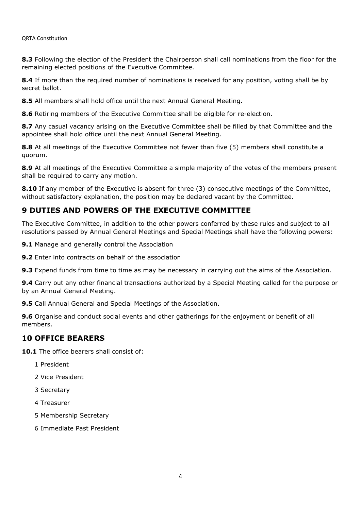**8.3** Following the election of the President the Chairperson shall call nominations from the floor for the remaining elected positions of the Executive Committee.

**8.4** If more than the required number of nominations is received for any position, voting shall be by secret ballot.

**8.5** All members shall hold office until the next Annual General Meeting.

**8.6** Retiring members of the Executive Committee shall be eligible for re-election.

8.7 Any casual vacancy arising on the Executive Committee shall be filled by that Committee and the appointee shall hold office until the next Annual General Meeting.

**8.8** At all meetings of the Executive Committee not fewer than five (5) members shall constitute a quorum.

**8.9** At all meetings of the Executive Committee a simple majority of the votes of the members present shall be required to carry any motion.

**8.10** If any member of the Executive is absent for three (3) consecutive meetings of the Committee, without satisfactory explanation, the position may be declared vacant by the Committee.

# **9 DUTIES AND POWERS OF THE EXECUTIVE COMMITTEE**

The Executive Committee, in addition to the other powers conferred by these rules and subject to all resolutions passed by Annual General Meetings and Special Meetings shall have the following powers:

**9.1** Manage and generally control the Association

**9.2** Enter into contracts on behalf of the association

**9.3** Expend funds from time to time as may be necessary in carrying out the aims of the Association.

**9.4** Carry out any other financial transactions authorized by a Special Meeting called for the purpose or by an Annual General Meeting.

**9.5** Call Annual General and Special Meetings of the Association.

**9.6** Organise and conduct social events and other gatherings for the enjoyment or benefit of all members.

## **10 OFFICE BEARERS**

10.1 The office bearers shall consist of:

- 1 President
- 2 Vice President
- 3 Secretary
- 4 Treasurer
- 5 Membership Secretary
- 6 Immediate Past President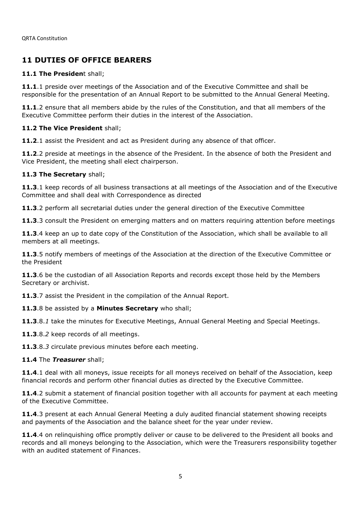# **11 DUTIES OF OFFICE BEARERS**

## **11.1 The Presiden**t shall;

**11.1**.1 preside over meetings of the Association and of the Executive Committee and shall be responsible for the presentation of an Annual Report to be submitted to the Annual General Meeting.

**11.1**.2 ensure that all members abide by the rules of the Constitution, and that all members of the Executive Committee perform their duties in the interest of the Association.

## **11.2 The Vice President** shall;

**11.2**.1 assist the President and act as President during any absence of that officer.

**11.2**.2 preside at meetings in the absence of the President. In the absence of both the President and Vice President, the meeting shall elect chairperson.

## **11.3 The Secretary** shall;

**11.3**.1 keep records of all business transactions at all meetings of the Association and of the Executive Committee and shall deal with Correspondence as directed

**11.3**.2 perform all secretarial duties under the general direction of the Executive Committee

**11.3**.3 consult the President on emerging matters and on matters requiring attention before meetings

**11.3**.4 keep an up to date copy of the Constitution of the Association, which shall be available to all members at all meetings.

**11.3**.5 notify members of meetings of the Association at the direction of the Executive Committee or the President

**11.3**.6 be the custodian of all Association Reports and records except those held by the Members Secretary or archivist.

**11.3**.7 assist the President in the compilation of the Annual Report.

## **11.3**.8 be assisted by a **Minutes Secretary** who shall;

**11.3**.8.*1* take the minutes for Executive Meetings, Annual General Meeting and Special Meetings.

**11.3**.8.*2* keep records of all meetings.

**11.3**.8.*3* circulate previous minutes before each meeting.

## **11.4** The *Treasurer* shall;

**11.4**.1 deal with all moneys, issue receipts for all moneys received on behalf of the Association, keep financial records and perform other financial duties as directed by the Executive Committee.

**11.4**.2 submit a statement of financial position together with all accounts for payment at each meeting of the Executive Committee.

**11.4**.3 present at each Annual General Meeting a duly audited financial statement showing receipts and payments of the Association and the balance sheet for the year under review.

**11.4**.4 on relinquishing office promptly deliver or cause to be delivered to the President all books and records and all moneys belonging to the Association, which were the Treasurers responsibility together with an audited statement of Finances.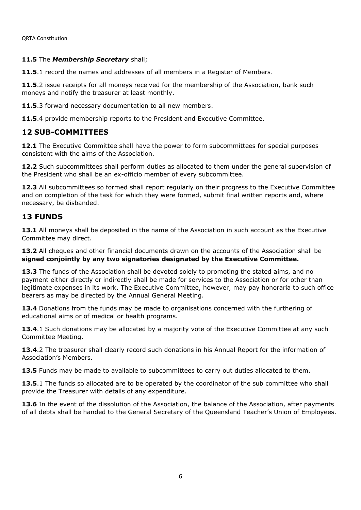## **11.5** The *Membership Secretary* shall;

**11.5**.1 record the names and addresses of all members in a Register of Members.

**11.5**.2 issue receipts for all moneys received for the membership of the Association, bank such moneys and notify the treasurer at least monthly.

**11.5**.3 forward necessary documentation to all new members.

**11.5**.4 provide membership reports to the President and Executive Committee.

## **12 SUB-COMMITTEES**

**12.1** The Executive Committee shall have the power to form subcommittees for special purposes consistent with the aims of the Association.

**12.2** Such subcommittees shall perform duties as allocated to them under the general supervision of the President who shall be an ex-officio member of every subcommittee.

**12.3** All subcommittees so formed shall report regularly on their progress to the Executive Committee and on completion of the task for which they were formed, submit final written reports and, where necessary, be disbanded.

## **13 FUNDS**

**13.1** All moneys shall be deposited in the name of the Association in such account as the Executive Committee may direct.

13.2 All cheques and other financial documents drawn on the accounts of the Association shall be **signed conjointly by any two signatories designated by the Executive Committee.**

**13.3** The funds of the Association shall be devoted solely to promoting the stated aims, and no payment either directly or indirectly shall be made for services to the Association or for other than legitimate expenses in its work. The Executive Committee, however, may pay honoraria to such office bearers as may be directed by the Annual General Meeting.

**13.4** Donations from the funds may be made to organisations concerned with the furthering of educational aims or of medical or health programs.

**13.4**.1 Such donations may be allocated by a majority vote of the Executive Committee at any such Committee Meeting.

**13.4**.2 The treasurer shall clearly record such donations in his Annual Report for the information of Association's Members.

**13.5** Funds may be made to available to subcommittees to carry out duties allocated to them.

13.5.1 The funds so allocated are to be operated by the coordinator of the sub committee who shall provide the Treasurer with details of any expenditure.

**13.6** In the event of the dissolution of the Association, the balance of the Association, after payments of all debts shall be handed to the General Secretary of the Queensland Teacher's Union of Employees.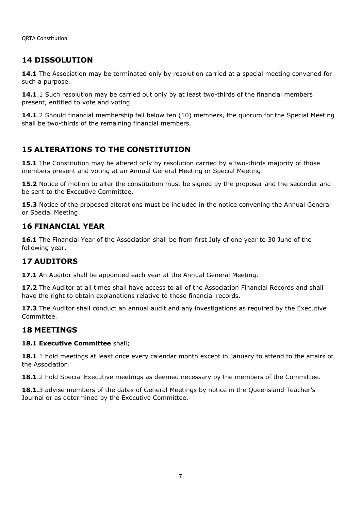# **14 DISSOLUTION**

**14.1** The Association may be terminated only by resolution carried at a special meeting convened for such a purpose.

**14.1**.1 Such resolution may be carried out only by at least two-thirds of the financial members present, entitled to vote and voting.

**14.1**.2 Should financial membership fall below ten (10) members, the quorum for the Special Meeting shall be two-thirds of the remaining financial members.

## **15 ALTERATIONS TO THE CONSTITUTION**

**15.1** The Constitution may be altered only by resolution carried by a two-thirds majority of those members present and voting at an Annual General Meeting or Special Meeting.

**15.2** Notice of motion to alter the constitution must be signed by the proposer and the seconder and be sent to the Executive Committee.

**15.3** Notice of the proposed alterations must be included in the notice convening the Annual General or Special Meeting.

## **16 FINANCIAL YEAR**

**16.1** The Financial Year of the Association shall be from first July of one year to 30 June of the following year.

## **17 AUDITORS**

**17.1** An Auditor shall be appointed each year at the Annual General Meeting.

**17.2** The Auditor at all times shall have access to all of the Association Financial Records and shall have the right to obtain explanations relative to those financial records.

**17.3** The Auditor shall conduct an annual audit and any investigations as required by the Executive Committee.

## **18 MEETINGS**

#### **18.1 Executive Committee** shall;

**18.1**.1 hold meetings at least once every calendar month except in January to attend to the affairs of the Association.

**18.1.**2 hold Special Executive meetings as deemed necessary by the members of the Committee.

18.1.3 advise members of the dates of General Meetings by notice in the Queensland Teacher's Journal or as determined by the Executive Committee.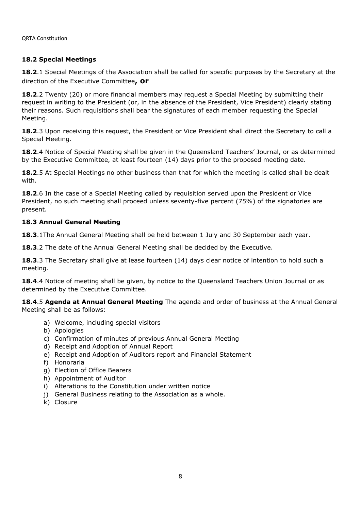## **18.2 Special Meetings**

**18.2**.1 Special Meetings of the Association shall be called for specific purposes by the Secretary at the direction of the Executive Committee**, or**

**18.2**.2 Twenty (20) or more financial members may request a Special Meeting by submitting their request in writing to the President (or, in the absence of the President, Vice President) clearly stating their reasons. Such requisitions shall bear the signatures of each member requesting the Special Meeting.

18.2.3 Upon receiving this request, the President or Vice President shall direct the Secretary to call a Special Meeting.

**18.2**.4 Notice of Special Meeting shall be given in the Queensland Teachers' Journal, or as determined by the Executive Committee, at least fourteen (14) days prior to the proposed meeting date.

**18.2**.5 At Special Meetings no other business than that for which the meeting is called shall be dealt with.

**18.2.**6 In the case of a Special Meeting called by requisition served upon the President or Vice President, no such meeting shall proceed unless seventy-five percent (75%) of the signatories are present.

## **18.3 Annual General Meeting**

**18.3**.1The Annual General Meeting shall be held between 1 July and 30 September each year.

**18.3**.2 The date of the Annual General Meeting shall be decided by the Executive.

**18.3**.3 The Secretary shall give at lease fourteen (14) days clear notice of intention to hold such a meeting.

18.4.4 Notice of meeting shall be given, by notice to the Queensland Teachers Union Journal or as determined by the Executive Committee.

**18.4**.5 **Agenda at Annual General Meeting** The agenda and order of business at the Annual General Meeting shall be as follows:

- a) Welcome, including special visitors
- b) Apologies
- c) Confirmation of minutes of previous Annual General Meeting
- d) Receipt and Adoption of Annual Report
- e) Receipt and Adoption of Auditors report and Financial Statement
- f) Honoraria
- g) Election of Office Bearers
- h) Appointment of Auditor
- i) Alterations to the Constitution under written notice
- j) General Business relating to the Association as a whole.
- k) Closure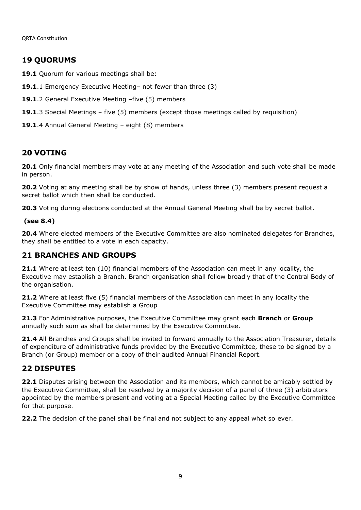# **19 QUORUMS**

19.1 Quorum for various meetings shall be:

- **19.1**.1 Emergency Executive Meeting– not fewer than three (3)
- **19.1**.2 General Executive Meeting –five (5) members
- **19.1**.3 Special Meetings five (5) members (except those meetings called by requisition)
- **19.1**.4 Annual General Meeting eight (8) members

# **20 VOTING**

**20.1** Only financial members may vote at any meeting of the Association and such vote shall be made in person.

**20.2** Voting at any meeting shall be by show of hands, unless three (3) members present request a secret ballot which then shall be conducted.

**20.3** Voting during elections conducted at the Annual General Meeting shall be by secret ballot.

## **(see 8.4)**

**20.4** Where elected members of the Executive Committee are also nominated delegates for Branches, they shall be entitled to a vote in each capacity.

# **21 BRANCHES AND GROUPS**

**21.1** Where at least ten (10) financial members of the Association can meet in any locality, the Executive may establish a Branch. Branch organisation shall follow broadly that of the Central Body of the organisation.

**21.2** Where at least five (5) financial members of the Association can meet in any locality the Executive Committee may establish a Group

**21.3** For Administrative purposes, the Executive Committee may grant each **Branch** or **Group**  annually such sum as shall be determined by the Executive Committee.

**21.4** All Branches and Groups shall be invited to forward annually to the Association Treasurer, details of expenditure of administrative funds provided by the Executive Committee, these to be signed by a Branch (or Group) member or a copy of their audited Annual Financial Report.

# **22 DISPUTES**

**22.1** Disputes arising between the Association and its members, which cannot be amicably settled by the Executive Committee, shall be resolved by a majority decision of a panel of three (3) arbitrators appointed by the members present and voting at a Special Meeting called by the Executive Committee for that purpose.

**22.2** The decision of the panel shall be final and not subject to any appeal what so ever.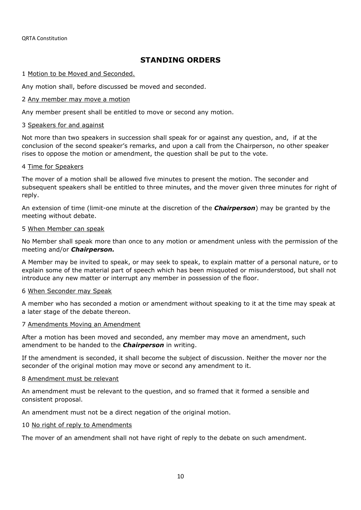# **STANDING ORDERS**

## 1 Motion to be Moved and Seconded.

Any motion shall, before discussed be moved and seconded.

## 2 Any member may move a motion

Any member present shall be entitled to move or second any motion.

#### 3 Speakers for and against

Not more than two speakers in succession shall speak for or against any question, and, if at the conclusion of the second speaker's remarks, and upon a call from the Chairperson, no other speaker rises to oppose the motion or amendment, the question shall be put to the vote.

## 4 Time for Speakers

The mover of a motion shall be allowed five minutes to present the motion. The seconder and subsequent speakers shall be entitled to three minutes, and the mover given three minutes for right of reply.

An extension of time (limit-one minute at the discretion of the *Chairperson*) may be granted by the meeting without debate.

#### 5 When Member can speak

No Member shall speak more than once to any motion or amendment unless with the permission of the meeting and/or *Chairperson.*

A Member may be invited to speak, or may seek to speak, to explain matter of a personal nature, or to explain some of the material part of speech which has been misquoted or misunderstood, but shall not introduce any new matter or interrupt any member in possession of the floor.

#### 6 When Seconder may Speak

A member who has seconded a motion or amendment without speaking to it at the time may speak at a later stage of the debate thereon.

#### 7 Amendments Moving an Amendment

After a motion has been moved and seconded, any member may move an amendment, such amendment to be handed to the *Chairperson* in writing.

If the amendment is seconded, it shall become the subject of discussion. Neither the mover nor the seconder of the original motion may move or second any amendment to it.

#### 8 Amendment must be relevant

An amendment must be relevant to the question, and so framed that it formed a sensible and consistent proposal.

An amendment must not be a direct negation of the original motion.

#### 10 No right of reply to Amendments

The mover of an amendment shall not have right of reply to the debate on such amendment.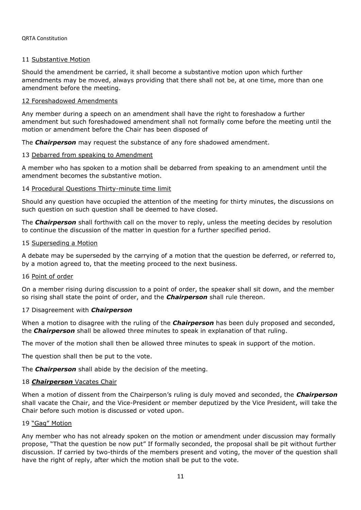#### QRTA Constitution

## 11 Substantive Motion

Should the amendment be carried, it shall become a substantive motion upon which further amendments may be moved, always providing that there shall not be, at one time, more than one amendment before the meeting.

## 12 Foreshadowed Amendments

Any member during a speech on an amendment shall have the right to foreshadow a further amendment but such foreshadowed amendment shall not formally come before the meeting until the motion or amendment before the Chair has been disposed of

The *Chairperson* may request the substance of any fore shadowed amendment.

## 13 Debarred from speaking to Amendment

A member who has spoken to a motion shall be debarred from speaking to an amendment until the amendment becomes the substantive motion.

## 14 Procedural Questions Thirty-minute time limit

Should any question have occupied the attention of the meeting for thirty minutes, the discussions on such question on such question shall be deemed to have closed.

The *Chairperson* shall forthwith call on the mover to reply, unless the meeting decides by resolution to continue the discussion of the matter in question for a further specified period.

#### 15 Superseding a Motion

A debate may be superseded by the carrying of a motion that the question be deferred, or referred to, by a motion agreed to, that the meeting proceed to the next business.

#### 16 Point of order

On a member rising during discussion to a point of order, the speaker shall sit down, and the member so rising shall state the point of order, and the *Chairperson* shall rule thereon.

#### 17 Disagreement with *Chairperson*

When a motion to disagree with the ruling of the *Chairperson* has been duly proposed and seconded, the *Chairperson* shall be allowed three minutes to speak in explanation of that ruling.

The mover of the motion shall then be allowed three minutes to speak in support of the motion.

The question shall then be put to the vote.

The *Chairperson* shall abide by the decision of the meeting.

## 18 **Chairperson** Vacates Chair

When a motion of dissent from the Chairperson's ruling is duly moved and seconded, the *Chairperson* shall vacate the Chair, and the Vice-President or member deputized by the Vice President, will take the Chair before such motion is discussed or voted upon.

## 19 "Gag" Motion

Any member who has not already spoken on the motion or amendment under discussion may formally propose, "That the question be now put" If formally seconded, the proposal shall be pit without further discussion. If carried by two-thirds of the members present and voting, the mover of the question shall have the right of reply, after which the motion shall be put to the vote.